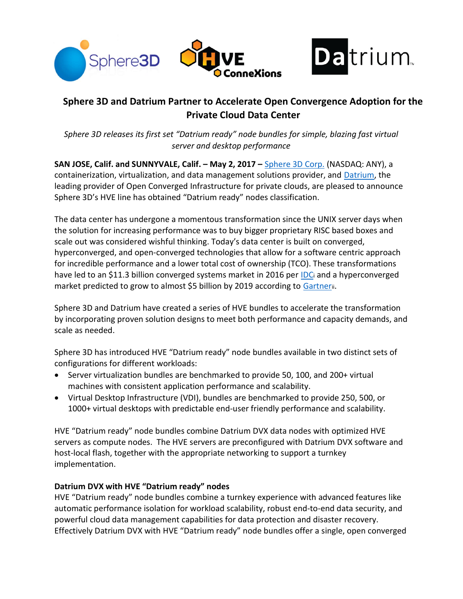



# Sphere 3D and Datrium Partner to Accelerate Open Convergence Adoption for the Private Cloud Data Center

Sphere 3D releases its first set "Datrium ready" node bundles for simple, blazing fast virtual server and desktop performance

SAN JOSE, Calif. and SUNNYVALE, Calif. - May 2, 2017 - Sphere 3D Corp. (NASDAQ: ANY), a containerization, virtualization, and data management solutions provider, and Datrium, the leading provider of Open Converged Infrastructure for private clouds, are pleased to announce Sphere 3D's HVE line has obtained "Datrium ready" nodes classification.

The data center has undergone a momentous transformation since the UNIX server days when the solution for increasing performance was to buy bigger proprietary RISC based boxes and scale out was considered wishful thinking. Today's data center is built on converged, hyperconverged, and open-converged technologies that allow for a software centric approach for incredible performance and a lower total cost of ownership (TCO). These transformations have led to an \$11.3 billion converged systems market in 2016 per IDC and a hyperconverged market predicted to grow to almost \$5 billion by 2019 according to Gartnerii.

Sphere 3D and Datrium have created a series of HVE bundles to accelerate the transformation by incorporating proven solution designs to meet both performance and capacity demands, and scale as needed.

Sphere 3D has introduced HVE "Datrium ready" node bundles available in two distinct sets of configurations for different workloads:

- Server virtualization bundles are benchmarked to provide 50, 100, and 200+ virtual machines with consistent application performance and scalability.
- Virtual Desktop Infrastructure (VDI), bundles are benchmarked to provide 250, 500, or 1000+ virtual desktops with predictable end-user friendly performance and scalability.

HVE "Datrium ready" node bundles combine Datrium DVX data nodes with optimized HVE servers as compute nodes. The HVE servers are preconfigured with Datrium DVX software and host-local flash, together with the appropriate networking to support a turnkey implementation.

# Datrium DVX with HVE "Datrium ready" nodes

HVE "Datrium ready" node bundles combine a turnkey experience with advanced features like automatic performance isolation for workload scalability, robust end-to-end data security, and powerful cloud data management capabilities for data protection and disaster recovery. Effectively Datrium DVX with HVE "Datrium ready" node bundles offer a single, open converged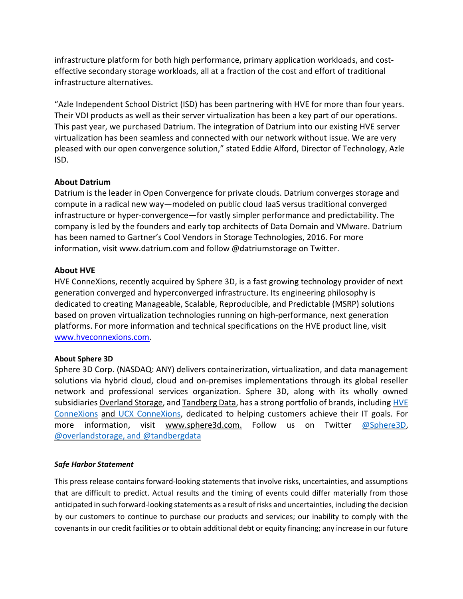infrastructure platform for both high performance, primary application workloads, and costeffective secondary storage workloads, all at a fraction of the cost and effort of traditional infrastructure alternatives.

"Azle Independent School District (ISD) has been partnering with HVE for more than four years. Their VDI products as well as their server virtualization has been a key part of our operations. This past year, we purchased Datrium. The integration of Datrium into our existing HVE server virtualization has been seamless and connected with our network without issue. We are very pleased with our open convergence solution," stated Eddie Alford, Director of Technology, Azle ISD.

## About Datrium

Datrium is the leader in Open Convergence for private clouds. Datrium converges storage and compute in a radical new way—modeled on public cloud IaaS versus traditional converged infrastructure or hyper-convergence—for vastly simpler performance and predictability. The company is led by the founders and early top architects of Data Domain and VMware. Datrium has been named to Gartner's Cool Vendors in Storage Technologies, 2016. For more information, visit www.datrium.com and follow @datriumstorage on Twitter.

# About HVE

HVE ConneXions, recently acquired by Sphere 3D, is a fast growing technology provider of next generation converged and hyperconverged infrastructure. Its engineering philosophy is dedicated to creating Manageable, Scalable, Reproducible, and Predictable (MSRP) solutions based on proven virtualization technologies running on high-performance, next generation platforms. For more information and technical specifications on the HVE product line, visit www.hveconnexions.com.

## About Sphere 3D

Sphere 3D Corp. (NASDAQ: ANY) delivers containerization, virtualization, and data management solutions via hybrid cloud, cloud and on-premises implementations through its global reseller network and professional services organization. Sphere 3D, along with its wholly owned subsidiaries Overland Storage, and Tandberg Data, has a strong portfolio of brands, including HVE ConneXions and UCX ConneXions, dedicated to helping customers achieve their IT goals. For more information, visit www.sphere3d.com. Follow us on Twitter @Sphere3D, @overlandstorage, and @tandbergdata

## Safe Harbor Statement

This press release contains forward-looking statements that involve risks, uncertainties, and assumptions that are difficult to predict. Actual results and the timing of events could differ materially from those anticipated in such forward-looking statements as a result of risks and uncertainties, including the decision by our customers to continue to purchase our products and services; our inability to comply with the covenants in our credit facilities or to obtain additional debt or equity financing; any increase in our future